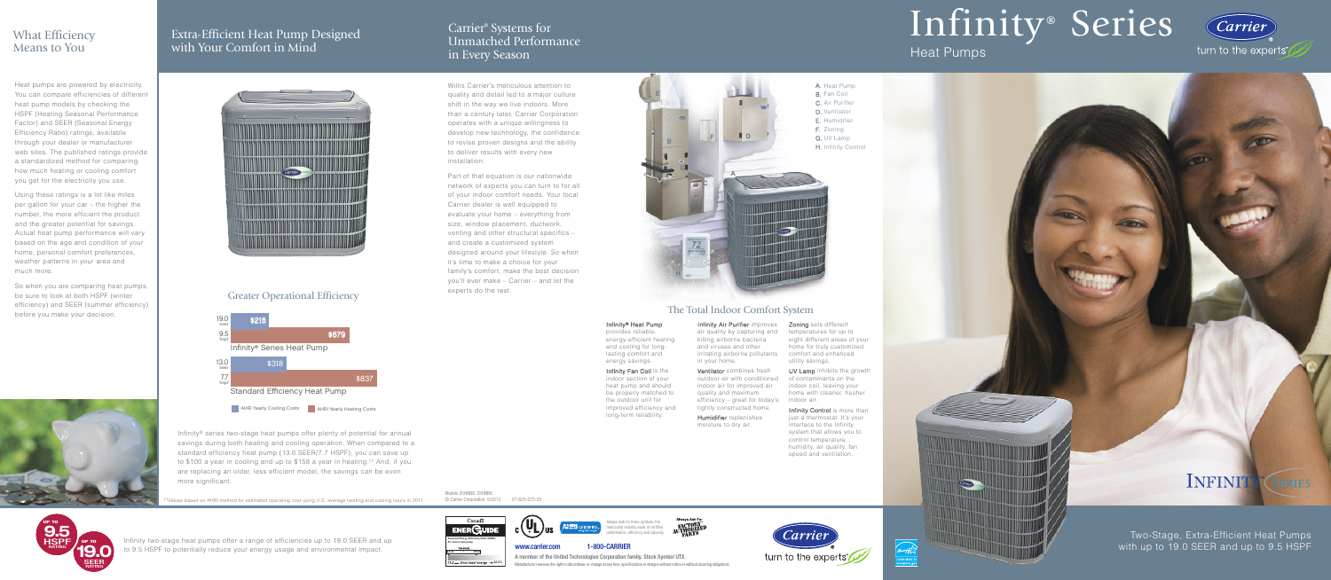# Infinity ® Series

### Heat Pumps



## INFINITY<sup>®</sup> *SERIES*

Two-Stage, Extra-Efficient Heat Pumps with up to 19.0 SEER and up to 9.5 HSPF



 $\frac{1}{\sqrt{2}}$ 

<u>September</u>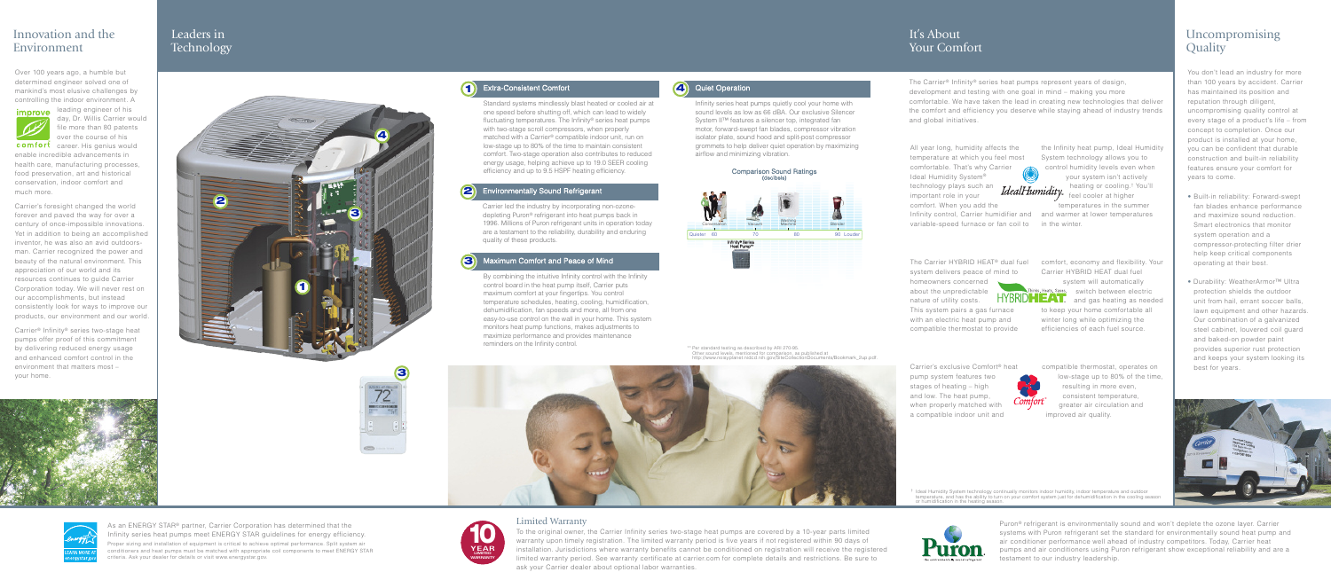#### It's About Your Comfort

The Carrier® Infinity® series heat pumps represent years of design, development and testing with one goal in mind – making you more comfortable. We have taken the lead in creating new technologies that deliver the comfort and efficiency you deserve while staying ahead of industry trends and global initiatives.

All year long, humidity affects the temperature at which you feel most comfortable. That's why Carrier Ideal Humidity System® technology plays such an

important role in your comfort. When you add the

Infinity control, Carrier humidifier and variable-speed furnace or fan coil to

The Carrier HYBRID HEAT® dual fuel system delivers peace of mind to homeowners concerned

about the unpredictable nature of utility costs.

This system pairs a gas furnace with an electric heat pump and compatible thermostat to provide

the Infinity heat pump, Ideal Humidity System technology allows you to control humidity levels even when your system isn't actively heating or cooling.† You'll IdealHumidity

feel cooler at higher temperatures in the summer and warmer at lower temperatures in the winter.

comfort, economy and flexibility. Your Carrier HYBRID HEAT dual fuel system will automatically Thinks. Heats. Saves. switch between electric **HYBRID HEAT!** and gas heating as needed

to keep your home comfortable all winter long while optimizing the efficiencies of each fuel source.

Carrier's exclusive Comfort® heat pump system features two stages of heating – high and low. The heat pump, when properly matched with a compatible indoor unit and

compatible thermostat, operates on low-stage up to 80% of the time, resulting in more even, consistent temperature, greater air circulation and improved air quality. ®

#### Uncompromising **Quality**

You don't lead an industry for more than 100 years by accident. Carrier has maintained its position and reputation through diligent, uncompromising quality control at every stage of a product's life – from concept to completion. Once our product is installed at your home, you can be confident that durable construction and built-in reliability features ensure your comfort for years to come.

- **•** Built-in reliability: Forward-swept fan blades enhance performance and maximize sound reduction. Smart electronics that monitor system operation and a compressor-protecting filter drier help keep critical components operating at their best.
- **•** Durability: WeatherArmor™ Ultra protection shields the outdoor unit from hail, errant soccer balls, lawn equipment and other hazards. Our combination of a galvanized steel cabinet, louvered coil guard and baked-on powder paint provides superior rust protection and keeps your system looking its best for years.



† Ideal Humidity System technology continually monitors indoor humidity, indoor temperature and outdoor temperature, and has the ability to turn on your comfort system just for dehumidification in the cooling season or humidification in the heating season.



Puron® refrigerant is environmentally sound and won't deplete the ozone layer. Carrier systems with Puron refrigerant set the standard for environmentally sound heat pump and air conditioner performance well ahead of industry competitors. Today, Carrier heat pumps and air conditioners using Puron refrigerant show exceptional reliability and are a testament to our industry leadership.